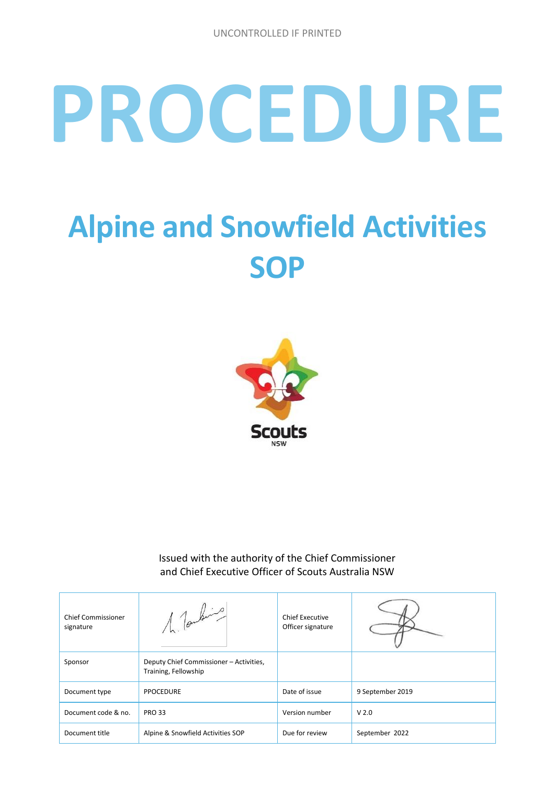# **PROCEDURE**

## **Alpine and Snowfield Activities SOP**



Issued with the authority of the Chief Commissioner and Chief Executive Officer of Scouts Australia NSW

| <b>Chief Commissioner</b><br>signature | 1 Tomburgo                                                      | Chief Executive<br>Officer signature |                  |
|----------------------------------------|-----------------------------------------------------------------|--------------------------------------|------------------|
| Sponsor                                | Deputy Chief Commissioner - Activities,<br>Training, Fellowship |                                      |                  |
| Document type                          | <b>PPOCEDURE</b>                                                | Date of issue                        | 9 September 2019 |
| Document code & no.                    | <b>PRO 33</b>                                                   | Version number                       | V <sub>2.0</sub> |
| Document title                         | Alpine & Snowfield Activities SOP                               | Due for review                       | September 2022   |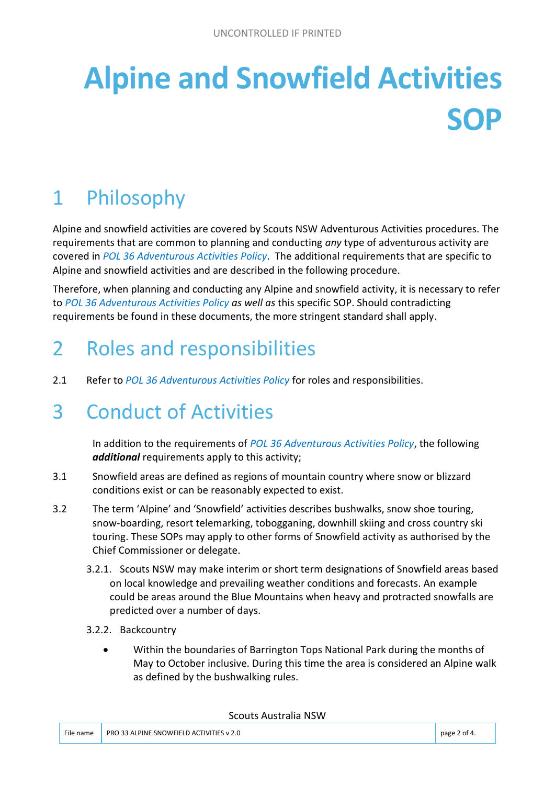# **Alpine and Snowfield Activities SOP**

## 1 Philosophy

Alpine and snowfield activities are covered by Scouts NSW Adventurous Activities procedures. The requirements that are common to planning and conducting *any* type of adventurous activity are covered in *POL 36 Adventurous Activities Policy*. The additional requirements that are specific to Alpine and snowfield activities and are described in the following procedure.

Therefore, when planning and conducting any Alpine and snowfield activity, it is necessary to refer to *POL 36 Adventurous Activities Policy as well as* this specific SOP. Should contradicting requirements be found in these documents, the more stringent standard shall apply.

## 2 Roles and responsibilities

2.1 Refer to *POL 36 Adventurous Activities Policy* for roles and responsibilities.

## 3 Conduct of Activities

In addition to the requirements of *POL 36 Adventurous Activities Policy*, the following *additional* requirements apply to this activity;

- 3.1 Snowfield areas are defined as regions of mountain country where snow or blizzard conditions exist or can be reasonably expected to exist.
- 3.2 The term 'Alpine' and 'Snowfield' activities describes bushwalks, snow shoe touring, snow-boarding, resort telemarking, tobogganing, downhill skiing and cross country ski touring. These SOPs may apply to other forms of Snowfield activity as authorised by the Chief Commissioner or delegate.
	- 3.2.1. Scouts NSW may make interim or short term designations of Snowfield areas based on local knowledge and prevailing weather conditions and forecasts. An example could be areas around the Blue Mountains when heavy and protracted snowfalls are predicted over a number of days.
	- 3.2.2. Backcountry
		- Within the boundaries of Barrington Tops National Park during the months of May to October inclusive. During this time the area is considered an Alpine walk as defined by the bushwalking rules.

#### Scouts Australia NSW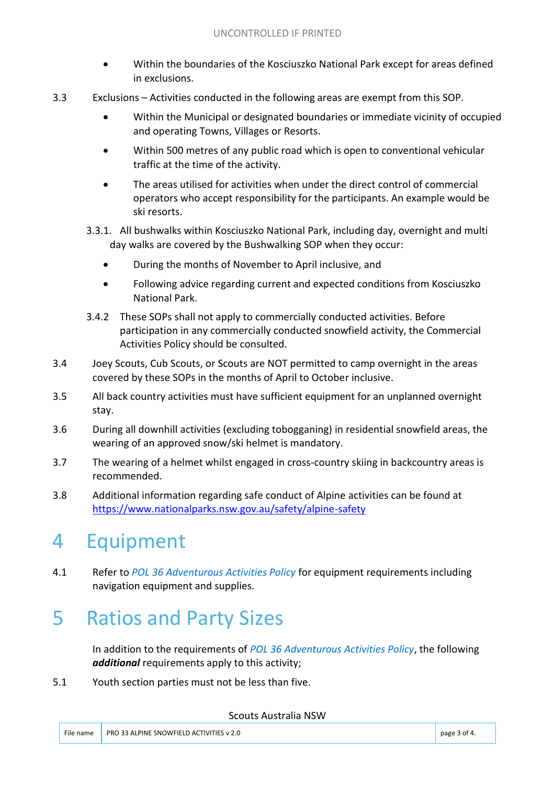- Within the boundaries of the Kosciuszko National Park except for areas defined in exclusions.
- 3.3 Exclusions Activities conducted in the following areas are exempt from this SOP.
	- Within the Municipal or designated boundaries or immediate vicinity of occupied and operating Towns, Villages or Resorts.
	- Within 500 metres of any public road which is open to conventional vehicular traffic at the time of the activity.
	- The areas utilised for activities when under the direct control of commercial operators who accept responsibility for the participants. An example would be ski resorts.
	- 3.3.1. All bushwalks within Kosciuszko National Park, including day, overnight and multi day walks are covered by the Bushwalking SOP when they occur:
		- During the months of November to April inclusive, and
		- Following advice regarding current and expected conditions from Kosciuszko National Park.
	- 3.4.2 These SOPs shall not apply to commercially conducted activities. Before participation in any commercially conducted snowfield activity, the Commercial Activities Policy should be consulted.
- 3.4 Joey Scouts, Cub Scouts, or Scouts are NOT permitted to camp overnight in the areas covered by these SOPs in the months of April to October inclusive.
- 3.5 All back country activities must have sufficient equipment for an unplanned overnight stay.
- 3.6 During all downhill activities (excluding tobogganing) in residential snowfield areas, the wearing of an approved snow/ski helmet is mandatory.
- 3.7 The wearing of a helmet whilst engaged in cross-country skiing in backcountry areas is recommended.
- 3.8 Additional information regarding safe conduct of Alpine activities can be found at <https://www.nationalparks.nsw.gov.au/safety/alpine-safety>

## 4 Equipment

4.1 Refer to *POL 36 Adventurous Activities Policy* for equipment requirements including navigation equipment and supplies.

## 5 Ratios and Party Sizes

In addition to the requirements of *POL 36 Adventurous Activities Policy*, the following *additional* requirements apply to this activity;

5.1 Youth section parties must not be less than five.

#### Scouts Australia NSW